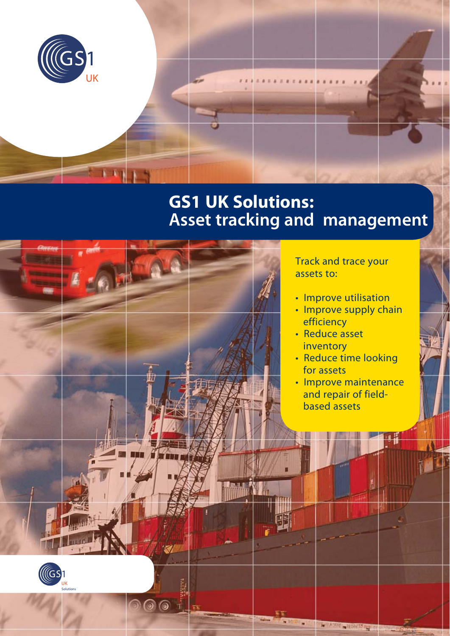

# **GS1 UK Solutions: Asset tracking and management**

**THINK SHEARAN** 

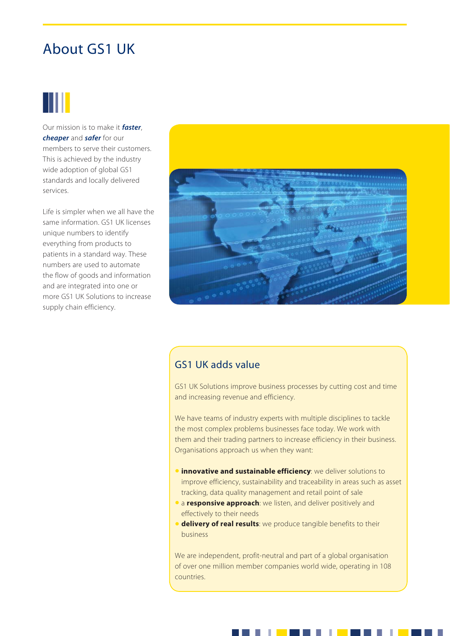## About GS1 UK

# Ш

Our mission is to make it *faster*, *cheaper* and *safer* for our members to serve their customers. This is achieved by the industry wide adoption of global GS1 standards and locally delivered services.

Life is simpler when we all have the same information. GS1 UK licenses unique numbers to identify everything from products to patients in a standard way. These numbers are used to automate the flow of goods and information and are integrated into one or more GS1 UK Solutions to increase supply chain efficiency.



## GS1 UK adds value

GS1 UK Solutions improve business processes by cutting cost and time and increasing revenue and efficiency.

We have teams of industry experts with multiple disciplines to tackle the most complex problems businesses face today. We work with them and their trading partners to increase efficiency in their business. Organisations approach us when they want:

- **innovative and sustainable efficiency**: we deliver solutions to improve efficiency, sustainability and traceability in areas such as asset tracking, data quality management and retail point of sale
- a **responsive approach**: we listen, and deliver positively and effectively to their needs
- **delivery of real results**: we produce tangible benefits to their business

We are independent, profit-neutral and part of a global organisation of over one million member companies world wide, operating in 108 countries.

. .

×.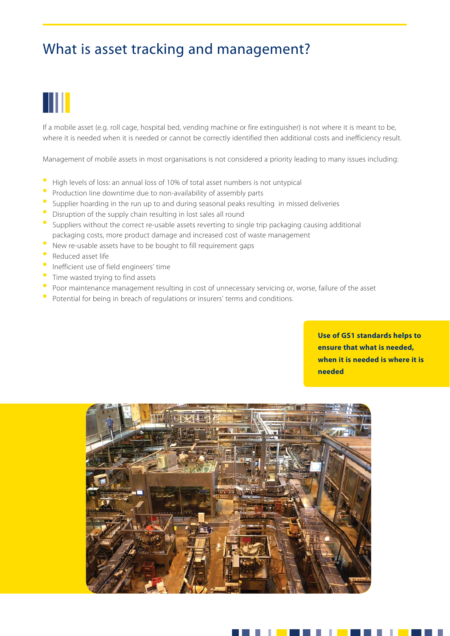## What is asset tracking and management?

# Ш

If a mobile asset (e.g. roll cage, hospital bed, vending machine or fire extinguisher) is not where it is meant to be, where it is needed when it is needed or cannot be correctly identified then additional costs and inefficiency result.

Management of mobile assets in most organisations is not considered a priority leading to many issues including:

- High levels of loss: an annual loss of 10% of total asset numbers is not untypical
- Production line downtime due to non-availability of assembly parts
- Supplier hoarding in the run up to and during seasonal peaks resulting in missed deliveries
- Disruption of the supply chain resulting in lost sales all round
- Suppliers without the correct re-usable assets reverting to single trip packaging causing additional packaging costs, more product damage and increased cost of waste management
- New re-usable assets have to be bought to fill requirement gaps
- Reduced asset life
- Inefficient use of field engineers' time
- Time wasted trying to find assets
- Poor maintenance management resulting in cost of unnecessary servicing or, worse, failure of the asset
- Potential for being in breach of regulations or insurers' terms and conditions.

**Use of GS1 standards helps to ensure that what is needed, when it is needed is where it is needed**

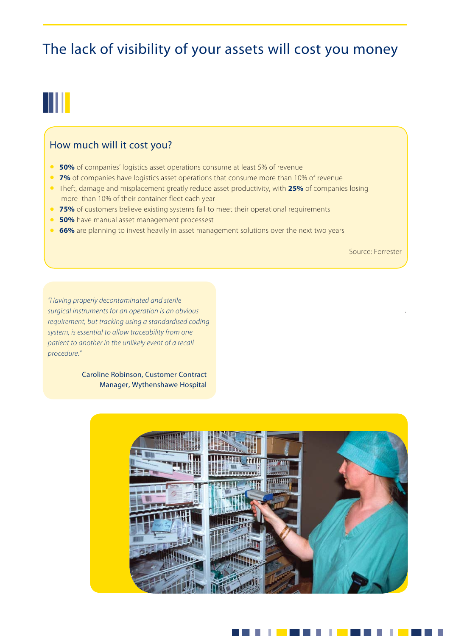## The lack of visibility of your assets will cost you money

# W

### How much will it cost you?

- **50%** of companies' logistics asset operations consume at least 5% of revenue
- **7%** of companies have logistics asset operations that consume more than 10% of revenue
- Theft, damage and misplacement greatly reduce asset productivity, with **25%** of companies losing more than 10% of their container fleet each year
- **75%** of customers believe existing systems fail to meet their operational requirements
- **50%** have manual asset management processest
- **66%** are planning to invest heavily in asset management solutions over the next two years

Source: Forrester

.

*"Having properly decontaminated and sterile surgical instruments for an operation is an obvious requirement, but tracking using a standardised coding system, is essential to allow traceability from one patient to another in the unlikely event of a recall procedure."*

> Caroline Robinson, Customer Contract Manager, Wythenshawe Hospital



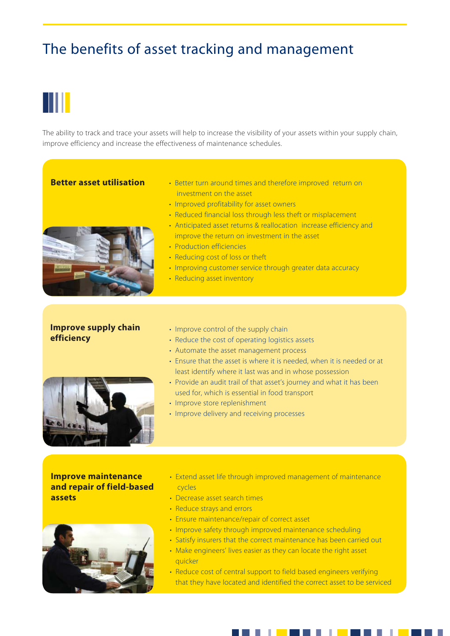## The benefits of asset tracking and management

# Ш

The ability to track and trace your assets will help to increase the visibility of your assets within your supply chain, improve efficiency and increase the effectiveness of maintenance schedules.

#### **Better asset utilisation**

- Better turn around times and therefore improved return on investment on the asset
- Improved profitability for asset owners
- Reduced financial loss through less theft or misplacement



- Anticipated asset returns & reallocation increase efficiency and improve the return on investment in the asset
- Production efficiencies
- Reducing cost of loss or theft
- Improving customer service through greater data accuracy
- Reducing asset inventory

### **Improve supply chain efficiency**

- Improve control of the supply chain
- Reduce the cost of operating logistics assets
- Automate the asset management process
- Ensure that the asset is where it is needed, when it is needed or at least identify where it last was and in whose possession
- Provide an audit trail of that asset's journey and what it has been used for, which is essential in food transport
- Improve store replenishment
- Improve delivery and receiving processes

**Improve maintenance and repair of field-based assets**



- Extend asset life through improved management of maintenance cycles
- Decrease asset search times
- Reduce strays and errors
- Ensure maintenance/repair of correct asset
- Improve safety through improved maintenance scheduling
- Satisfy insurers that the correct maintenance has been carried out
- Make engineers' lives easier as they can locate the right asset quicker
- Reduce cost of central support to field based engineers verifying that they have located and identified the correct asset to be serviced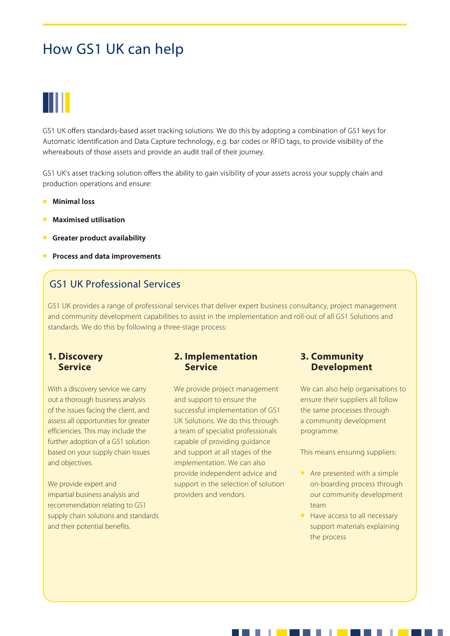## How GS1 UK can help



GS1 UK offers standards-based asset tracking solutions. We do this by adopting a combination of GS1 keys for Automatic Identification and Data Capture technology, e.g. bar codes or RFID tags, to provide visibility of the whereabouts of those assets and provide an audit trail of their journey.

GS1 UK's asset tracking solution offers the ability to gain visibility of your assets across your supply chain and production operations and ensure:

- **Minimal loss**
- **Maximised utilisation**
- **Greater product availability**
- **Process and data improvements**

## GS1 UK Professional Services

GS1 UK provides a range of professional services that deliver expert business consultancy, project management and community development capabilities to assist in the implementation and roll-out of all GS1 Solutions and standards. We do this by following a three-stage process:

#### **1. Discovery Service**

With a discovery service we carry out a thorough business analysis of the issues facing the client, and assess all opportunities for greater efficiencies. This may include the further adoption of a GS1 solution based on your supply chain issues and objectives.

We provide expert and impartial business analysis and recommendation relating to GS1 supply chain solutions and standards and their potential benefits.

### **2. Implementation Service**

We provide project management and support to ensure the successful implementation of GS1 UK Solutions. We do this through a team of specialist professionals capable of providing guidance and support at all stages of the implementation. We can also provide independent advice and support in the selection of solution providers and vendors.

×.

### **3. Community Development**

We can also help organisations to ensure their suppliers all follow the same processes through a community development programme.

This means ensuring suppliers:

- Are presented with a simple on-boarding process through our community development team
- Have access to all necessary support materials explaining the process

그는 마음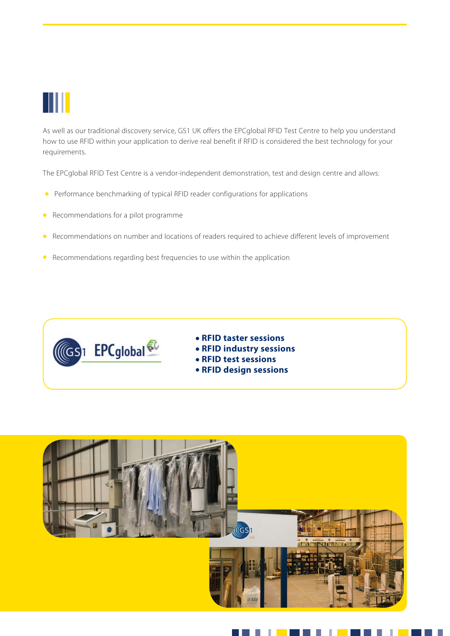

As well as our traditional discovery service, GS1 UK offers the EPCglobal RFID Test Centre to help you understand how to use RFID within your application to derive real benefit if RFID is considered the best technology for your requirements.

The EPCglobal RFID Test Centre is a vendor-independent demonstration, test and design centre and allows:

- Performance benchmarking of typical RFID reader configurations for applications
- Recommendations for a pilot programme
- Recommendations on number and locations of readers required to achieve different levels of improvement
- Recommendations regarding best frequencies to use within the application



- **RFID taster sessions**
- **RFID industry sessions**
- **RFID test sessions**
- **RFID design sessions**

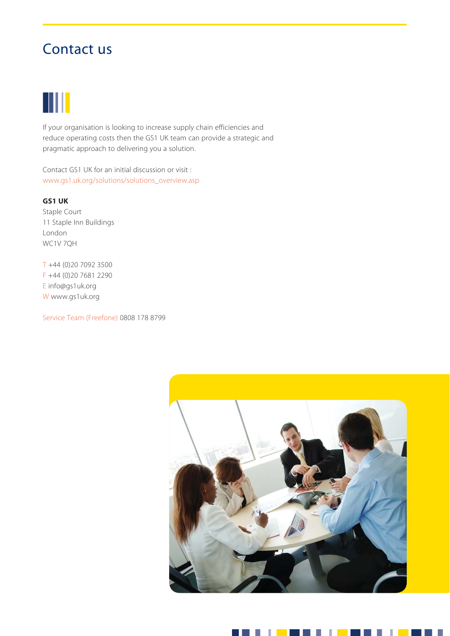# Contact us



If your organisation is looking to increase supply chain efficiencies and reduce operating costs then the GS1 UK team can provide a strategic and pragmatic approach to delivering you a solution.

Contact GS1 UK for an initial discussion or visit : www.gs1.uk.org/solutions/solutions\_overview.asp

#### **GS1 UK**

Staple Court 11 Staple Inn Buildings London WC1V 7QH

T +44 (0)20 7092 3500 F +44 (0)20 7681 2290 E info@gs1uk.org W www.gs1uk.org

Service Team (Freefone) 0808 178 8799